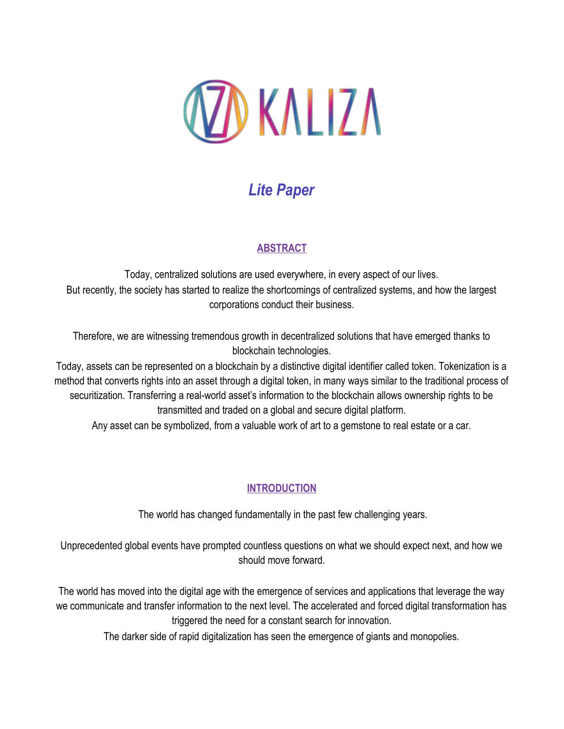

# *Lite Paper*

# **ABSTRACT**

Today, centralized solutions are used everywhere, in every aspect of our lives. But recently, the society has started to realize the shortcomings of centralized systems, and how the largest corporations conduct their business.

Therefore, we are witnessing tremendous growth in decentralized solutions that have emerged thanks to blockchain technologies.

Today, assets can be represented on a blockchain by a distinctive digital identifier called token. Tokenization is a method that converts rights into an asset through a digital token, in many ways similar to the traditional process of securitization. Transferring a real-world asset's information to the blockchain allows ownership rights to be transmitted and traded on a global and secure digital platform.

Any asset can be symbolized, from a valuable work of art to a gemstone to real estate or a car.

# **INTRODUCTION**

The world has changed fundamentally in the past few challenging years.

Unprecedented global events have prompted countless questions on what we should expect next, and how we should move forward.

The world has moved into the digital age with the emergence of services and applications that leverage the way we communicate and transfer information to the next level. The accelerated and forced digital transformation has triggered the need for a constant search for innovation.

The darker side of rapid digitalization has seen the emergence of giants and monopolies.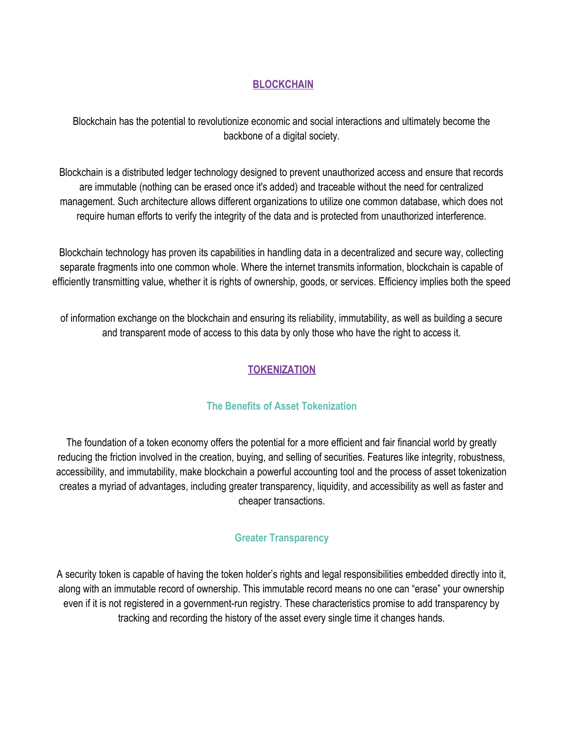#### **BLOCKCHAIN**

Blockchain has the potential to revolutionize economic and social interactions and ultimately become the backbone of a digital society.

Blockchain is a distributed ledger technology designed to prevent unauthorized access and ensure that records are immutable (nothing can be erased once it's added) and traceable without the need for centralized management. Such architecture allows different organizations to utilize one common database, which does not require human efforts to verify the integrity of the data and is protected from unauthorized interference.

Blockchain technology has proven its capabilities in handling data in a decentralized and secure way, collecting separate fragments into one common whole. Where the internet transmits information, blockchain is capable of efficiently transmitting value, whether it is rights of ownership, goods, or services. Efficiency implies both the speed

of information exchange on the blockchain and ensuring its reliability, immutability, as well as building a secure and transparent mode of access to this data by only those who have the right to access it.

# **TOKENIZATION**

#### **The Benefits of Asset Tokenization**

The foundation of a token economy offers the potential for a more efficient and fair financial world by greatly reducing the friction involved in the creation, buying, and selling of securities. Features like integrity, robustness, accessibility, and immutability, make blockchain a powerful accounting tool and the process of asset tokenization creates a myriad of advantages, including greater transparency, liquidity, and accessibility as well as faster and cheaper transactions.

#### **Greater Transparency**

A security token is capable of having the token holder's rights and legal responsibilities embedded directly into it, along with an immutable record of ownership. This immutable record means no one can "erase" your ownership even if it is not registered in a government-run registry. These characteristics promise to add transparency by tracking and recording the history of the asset every single time it changes hands.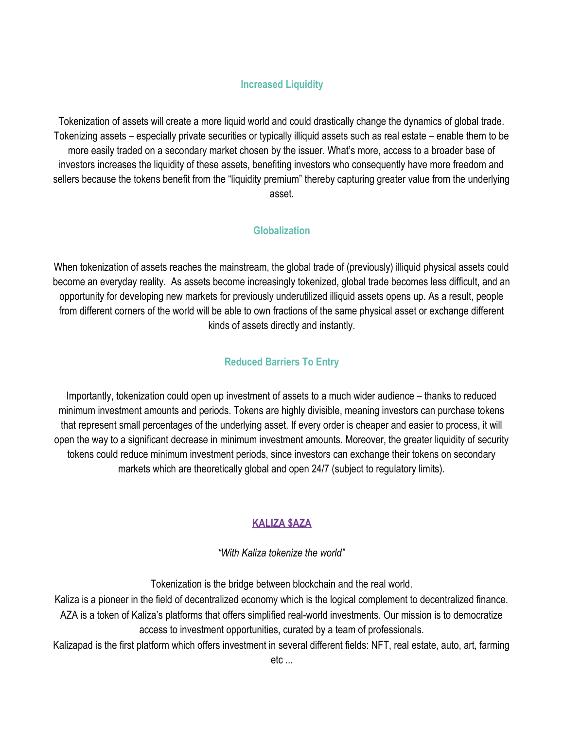#### <sup>i</sup>**Increased Liquidity**

Tokenization of assets will create a more liquid world and could drastically change the dynamics of global trade. Tokenizing assets – especially private securities or typically illiquid assets such as real estate – enable them to be more easily traded on a secondary market chosen by the issuer. What's more, access to a broader base of investors increases the liquidity of these assets, benefiting investors who consequently have more freedom and sellers because the tokens benefit from the "liquidity premium" thereby capturing greater value from the underlying asset.

#### **Globalization**

When tokenization of assets reaches the mainstream, the global trade of (previously) illiquid physical assets could become an everyday reality. As assets become increasingly tokenized, global trade becomes less difficult, and an opportunity for developing new markets for previously underutilized illiquid assets opens up. As a result, people from different corners of the world will be able to own fractions of the same physical asset or exchange different kinds of assets directly and instantly.

#### **Reduced Barriers To Entry**

Importantly, tokenization could open up investment of assets to a much wider audience – thanks to reduced minimum investment amounts and periods. Tokens are highly divisible, meaning investors can purchase tokens that represent small percentages of the underlying asset. If every order is cheaper and easier to process, it will open the way to a significant decrease in minimum investment amounts. Moreover, the greater liquidity of security tokens could reduce minimum investment periods, since investors can exchange their tokens on secondary markets which are theoretically global and open 24/7 (subject to regulatory limits).

# **KALIZA \$AZA**

*"With Kaliza tokenize the world"*

Tokenization is the bridge between blockchain and the real world.

Kaliza is a pioneer in the field of decentralized economy which is the logical complement to decentralized finance. AZA is a token of Kaliza's platforms that offers simplified real-world investments. Our mission is to democratize access to investment opportunities, curated by a team of professionals.

Kalizapad is the first platform which offers investment in several different fields: NFT, real estate, auto, art, farming etc ...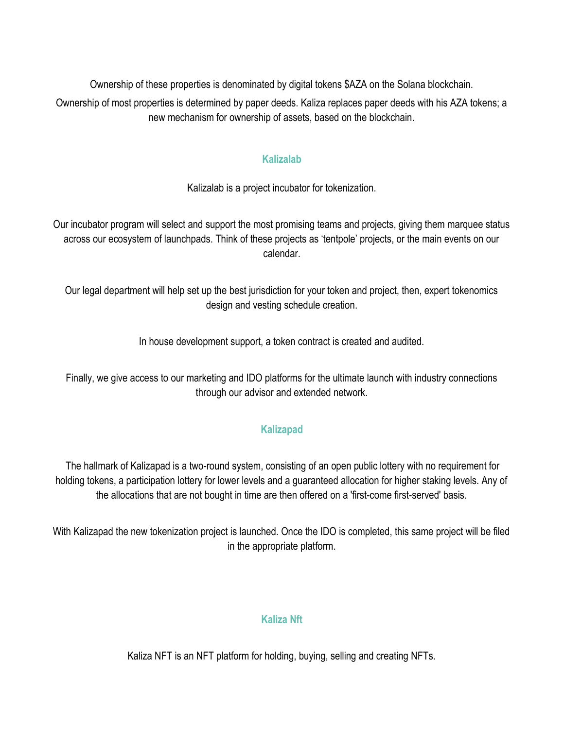Ownership of these properties is denominated by digital tokens \$AZA on the Solana blockchain. Ownership of most properties is determined by paper deeds. Kaliza replaces paper deeds with his AZA tokens; a new mechanism for ownership of assets, based on the blockchain.

#### **Kalizalab**

Kalizalab is a project incubator for tokenization.

Our incubator program will select and support the most promising teams and projects, giving them marquee status across our ecosystem of launchpads. Think of these projects as 'tentpole' projects, or the main events on our calendar.

Our legal department will help set up the best jurisdiction for your token and project, then, expert tokenomics design and vesting schedule creation.

In house development support, a token contract is created and audited.

Finally, we give access to our marketing and IDO platforms for the ultimate launch with industry connections through our advisor and extended network.

# **Kalizapad**

 The hallmark of Kalizapad is a two-round system, consisting of an open public lottery with no requirement for holding tokens, a participation lottery for lower levels and a guaranteed allocation for higher staking levels. Any of the allocations that are not bought in time are then offered on a 'first-come first-served' basis.

With Kalizapad the new tokenization project is launched. Once the IDO is completed, this same project will be filed in the appropriate platform.

# **Kaliza Nft**

Kaliza NFT is an NFT platform for holding, buying, selling and creating NFTs.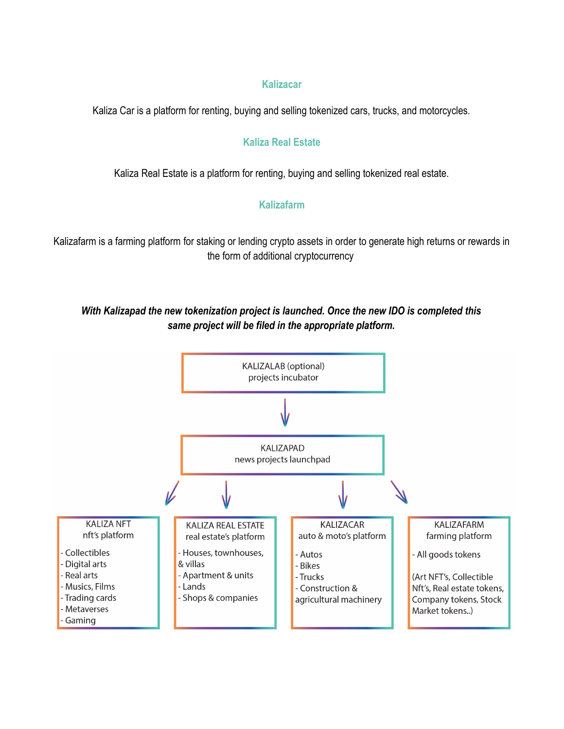#### **Kalizacar**

Kaliza Car is a platform for renting, buying and selling tokenized cars, trucks, and motorcycles.

#### **Kaliza Real Estate**

Kaliza Real Estate is a platform for renting, buying and selling tokenized real estate.

#### **Kalizafarm**

Kalizafarm is a farming platform for staking or lending crypto assets in order to generate high returns or rewards in the form of additional cryptocurrency

### *With Kalizapad the new tokenization project is launched. Once the new IDO is completed this same project will be filed in the appropriate platform.*

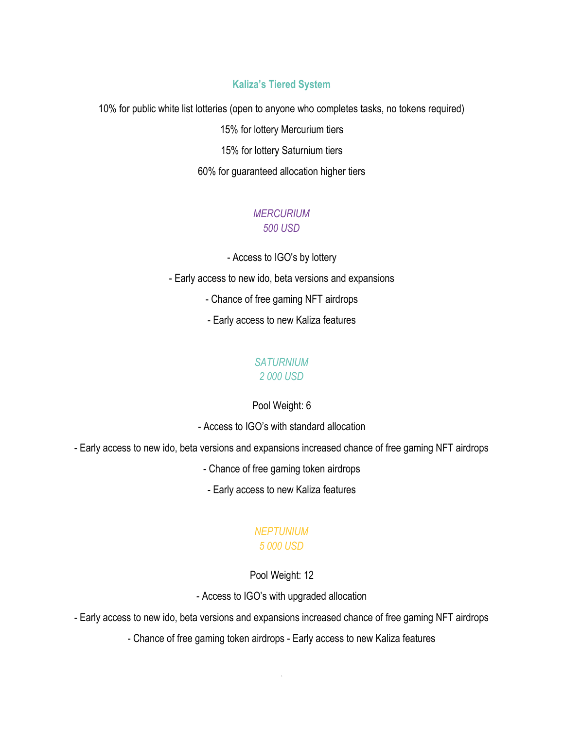#### **Kaliza's Tiered Syste[m](#page-5-0)<sup>1</sup>**

10% for public white list lotteries (open to anyone who completes tasks, no tokens required) 15% for lottery Mercurium tiers 15% for lottery Saturnium tiers 60% for guaranteed allocation higher tiers

#### *MERCURIUM 500 USD*

- Access to IGO's by lottery

- Early access to new ido, beta versions and expansions

- Chance of free gaming NFT airdrops

- Early access to new Kaliza features

# *SATURNIUM*

# *2 000 USD*

#### Pool Weight: 6

- Access to IGO's with standard allocation

- Early access to new ido, beta versions and expansions increased chance of free gaming NFT airdrops

- Chance of free gaming token airdrops

- Early access to new Kaliza features

#### *NEPTUNIUM 5 000 USD*

<span id="page-5-0"></span>Pool Weight: 12

- Access to IGO's with upgraded allocation

- Early access to new ido, beta versions and expansions increased chance of free gaming NFT airdrops

- Chance of free gaming token airdrops - Early access to new Kaliza features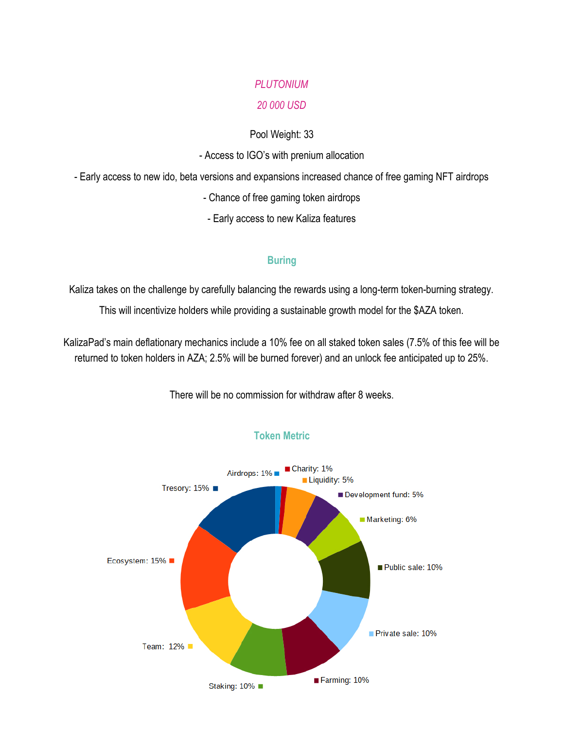#### *PLUTONIUM*

#### *20 000 USD*

#### Pool Weight: 33

#### - Access to IGO's with prenium allocation

- Early access to new ido, beta versions and expansions increased chance of free gaming NFT airdrops

- Chance of free gaming token airdrops
- Early access to new Kaliza features

#### **Buring**

Kaliza takes on the challenge by carefully balancing the rewards using a long-term token-burning strategy. This will incentivize holders while providing a sustainable growth model for the \$AZA token.

KalizaPad's main deflationary mechanics include a 10% fee on all staked token sales (7.5% of this fee will be returned to token holders in AZA; 2.5% will be burned forever) and an unlock fee anticipated up to 25%.



There will be no commission for withdraw after 8 weeks.